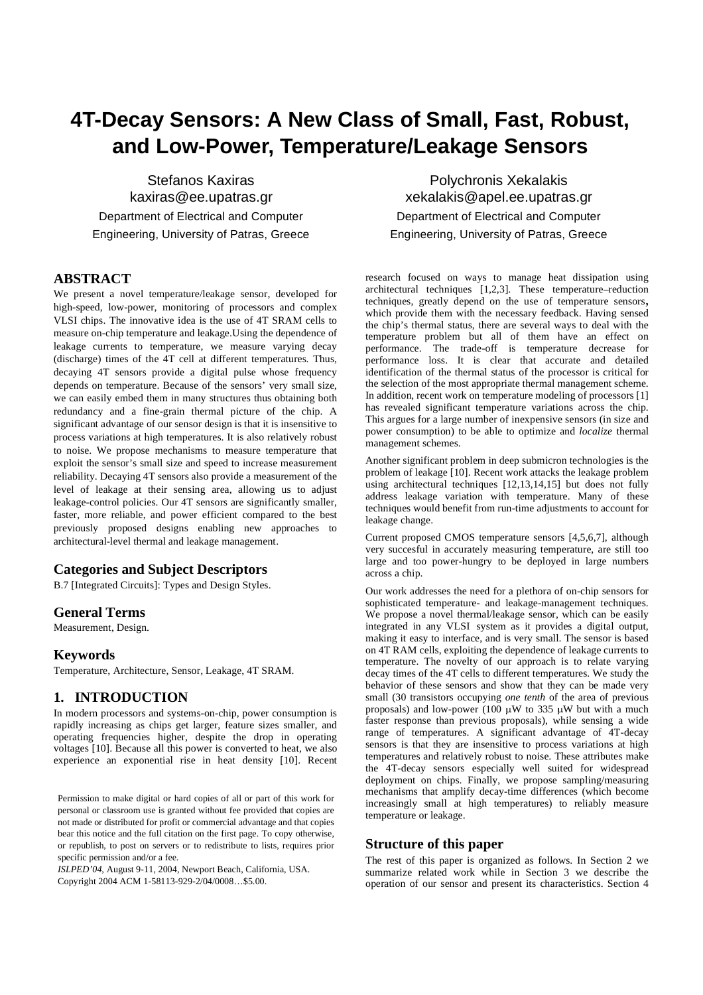# **4T-Decay Sensors: A New Class of Small, Fast, Robust, and Low-Power, Temperature/Leakage Sensors**

Stefanos Kaxiras kaxiras@ee.upatras.gr Department of Electrical and Computer Engineering, University of Patras, Greece

## **ABSTRACT**

We present a novel temperature/leakage sensor, developed for high-speed, low-power, monitoring of processors and complex VLSI chips. The innovative idea is the use of 4T SRAM cells to measure on-chip temperature and leakage.Using the dependence of leakage currents to temperature, we measure varying decay (discharge) times of the 4T cell at different temperatures. Thus, decaying 4T sensors provide a digital pulse whose frequency depends on temperature. Because of the sensors' very small size, we can easily embed them in many structures thus obtaining both redundancy and a fine-grain thermal picture of the chip. A significant advantage of our sensor design is that it is insensitive to process variations at high temperatures. It is also relatively robust to noise. We propose mechanisms to measure temperature that exploit the sensor's small size and speed to increase measurement reliability. Decaying 4T sensors also provide a measurement of the level of leakage at their sensing area, allowing us to adjust leakage-control policies. Our 4T sensors are significantly smaller, faster, more reliable, and power efficient compared to the best previously proposed designs enabling new approaches to architectural-level thermal and leakage management.

#### **Categories and Subject Descriptors**

B.7 [Integrated Circuits]: Types and Design Styles.

#### **General Terms**

Measurement, Design.

#### **Keywords**

Temperature, Architecture, Sensor, Leakage, 4T SRAM.

## **1. INTRODUCTION**

In modern processors and systems-on-chip, power consumption is rapidly increasing as chips get larger, feature sizes smaller, and operating frequencies higher, despite the drop in operating voltages [10]. Because all this power is converted to heat, we also experience an exponential rise in heat density [10]. Recent

*ISLPED'04,* August 9-11, 2004, Newport Beach, California, USA. Copyright 2004 ACM 1-58113-929-2/04/0008…\$5.00.

Polychronis Xekalakis xekalakis@apel.ee.upatras.gr Department of Electrical and Computer Engineering, University of Patras, Greece

research focused on ways to manage heat dissipation using architectural techniques [1,2,3]. These temperature–reduction techniques, greatly depend on the use of temperature sensors, which provide them with the necessary feedback. Having sensed the chip's thermal status, there are several ways to deal with the temperature problem but all of them have an effect on performance. The trade-off is temperature decrease for performance loss. It is clear that accurate and detailed identification of the thermal status of the processor is critical for the selection of the most appropriate thermal management scheme. In addition, recent work on temperature modeling of processors [1] has revealed significant temperature variations across the chip. This argues for a large number of inexpensive sensors (in size and power consumption) to be able to optimize and *localize* thermal management schemes.

Another significant problem in deep submicron technologies is the problem of leakage [10]. Recent work attacks the leakage problem using architectural techniques [12,13,14,15] but does not fully address leakage variation with temperature. Many of these techniques would benefit from run-time adjustments to account for leakage change.

Current proposed CMOS temperature sensors [4,5,6,7], although very succesful in accurately measuring temperature, are still too large and too power-hungry to be deployed in large numbers across a chip.

Our work addresses the need for a plethora of on-chip sensors for sophisticated temperature- and leakage-management techniques. We propose a novel thermal/leakage sensor, which can be easily integrated in any VLSI system as it provides a digital output, making it easy to interface, and is very small. The sensor is based on 4T RAM cells, exploiting the dependence of leakage currents to temperature. The novelty of our approach is to relate varying decay times of the 4T cells to different temperatures. We study the behavior of these sensors and show that they can be made very small (30 transistors occupying *one tenth* of the area of previous proposals) and low-power (100  $\mu$ W to 335  $\mu$ W but with a much faster response than previous proposals), while sensing a wide range of temperatures. A significant advantage of 4T-decay sensors is that they are insensitive to process variations at high temperatures and relatively robust to noise. These attributes make the 4T-decay sensors especially well suited for widespread deployment on chips. Finally, we propose sampling/measuring mechanisms that amplify decay-time differences (which become increasingly small at high temperatures) to reliably measure temperature or leakage.

#### **Structure of this paper**

The rest of this paper is organized as follows. In [Section 2](#page-1-0) we summarize related work while in [Section 3](#page-1-1) we describe the operation of our sensor and present its characteristics. [Section 4](#page-3-0)

Permission to make digital or hard copies of all or part of this work for personal or classroom use is granted without fee provided that copies are not made or distributed for profit or commercial advantage and that copies bear this notice and the full citation on the first page. To copy otherwise, or republish, to post on servers or to redistribute to lists, requires prior specific permission and/or a fee.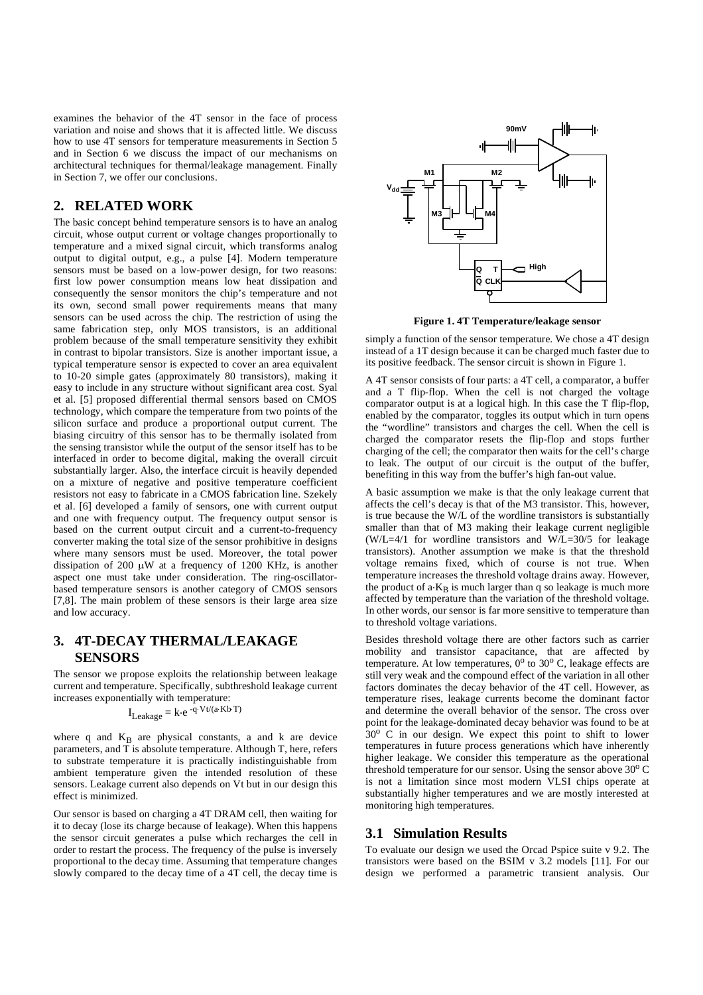examines the behavior of the 4T sensor in the face of process variation and noise and shows that it is affected little. We discuss how to use 4T sensors for temperature measurements in [Section 5](#page-4-0) and in Section 6 we discuss the impact of our mechanisms on architectural techniques for thermal/leakage management. Finally in [Section 7](#page-5-0), we offer our conclusions.

# <span id="page-1-0"></span>**2. RELATED WORK**

The basic concept behind temperature sensors is to have an analog circuit, whose output current or voltage changes proportionally to temperature and a mixed signal circuit, which transforms analog output to digital output, e.g., a pulse [4]. Modern temperature sensors must be based on a low-power design, for two reasons: first low power consumption means low heat dissipation and consequently the sensor monitors the chip's temperature and not its own, second small power requirements means that many sensors can be used across the chip. The restriction of using the same fabrication step, only MOS transistors, is an additional problem because of the small temperature sensitivity they exhibit in contrast to bipolar transistors. Size is another important issue, a typical temperature sensor is expected to cover an area equivalent to 10-20 simple gates (approximately 80 transistors), making it easy to include in any structure without significant area cost. Syal et al. [5] proposed differential thermal sensors based on CMOS technology, which compare the temperature from two points of the silicon surface and produce a proportional output current. The biasing circuitry of this sensor has to be thermally isolated from the sensing transistor while the output of the sensor itself has to be interfaced in order to become digital, making the overall circuit substantially larger. Also, the interface circuit is heavily depended on a mixture of negative and positive temperature coefficient resistors not easy to fabricate in a CMOS fabrication line. Szekely et al. [6] developed a family of sensors, one with current output and one with frequency output. The frequency output sensor is based on the current output circuit and a current-to-frequency converter making the total size of the sensor prohibitive in designs where many sensors must be used. Moreover, the total power dissipation of 200  $\mu$ W at a frequency of 1200 KHz, is another aspect one must take under consideration. The ring-oscillatorbased temperature sensors is another category of CMOS sensors [7,8]. The main problem of these sensors is their large area size and low accuracy.

# <span id="page-1-1"></span>**3. 4T-DECAY THERMAL/LEAKAGE SENSORS**

The sensor we propose exploits the relationship between leakage current and temperature. Specifically, subthreshold leakage current increases exponentially with temperature:

$$
I_{\text{Leakage}} = k e^{-q Vt/(a Kb T)}
$$

 $I_{\text{Leakage}} = k \cdot e^{-q \cdot Vt/(a \cdot Kb \cdot T)}$ <br>where q and  $K_B$  are physical constants, a and k are device<br>parameters and T is absolute temperature. Although T here refere parameters, and  $\overline{T}$  is absolute temperature. Although  $T$ , here, refers to substrate temperature it is practically indistinguishable from ambient temperature given the intended resolution of these sensors. Leakage current also depends on Vt but in our design this effect is minimized.

Our sensor is based on charging a 4T DRAM cell, then waiting for it to decay (lose its charge because of leakage). When this happens the sensor circuit generates a pulse which recharges the cell in order to restart the process. The frequency of the pulse is inversely proportional to the decay time. Assuming that temperature changes slowly compared to the decay time of a 4T cell, the decay time is



**Figure 1. 4T Temperature/leakage sensor**

simply a function of the sensor temperature. We chose a 4T design instead of a 1T design because it can be charged much faster due to its positive feedback. The sensor circuit is shown in Figure 1.

A 4T sensor consists of four parts: a 4T cell, a comparator, a buffer and a T flip-flop. When the cell is not charged the voltage comparator output is at a logical high. In this case the T flip-flop, enabled by the comparator, toggles its output which in turn opens the "wordline" transistors and charges the cell. When the cell is charged the comparator resets the flip-flop and stops further charging of the cell; the comparator then waits for the cell's charge to leak. The output of our circuit is the output of the buffer, benefiting in this way from the buffer's high fan-out value.

A basic assumption we make is that the only leakage current that affects the cell's decay is that of the M3 transistor. This, however, is true because the W/L of the wordline transistors is substantially smaller than that of M3 making their leakage current negligible  $(W/L=4/1)$  for wordline transistors and  $W/L=30/5$  for leakage transistors). Another assumption we make is that the threshold voltage remains fixed, which of course is not true. When temperature increases the threshold voltage drains away. However, the product of a  $K_B$  is much larger than q so leakage is much more affected by temperature than the vertices of the threshold values affected by temperature than the variation of the threshold voltage. In other words, our sensor is far more sensitive to temperature than to threshold voltage variations.

Besides threshold voltage there are other factors such as carrier mobility and transistor capacitance, that are affected by temperature. At low temperatures,  $0^{\circ}$  to  $30^{\circ}$  C, leakage effects are still very weak and the compound effect of the variation in all other factors dominates the decay behavior of the 4T cell. However, as temperature rises, leakage currents become the dominant factor and determine the overall behavior of the sensor. The cross over point for the leakage-dominated decay behavior was found to be at 30<sup>o</sup> C in our design. We expect this point to shift to lower temperatures in future process generations which have inherently higher leakage. We consider this temperature as the operational threshold temperature for our sensor. Using the sensor above  $30^{\circ}$  C is not a limitation since most modern VLSI chips operate at substantially higher temperatures and we are mostly interested at monitoring high temperatures.

## **3.1 Simulation Results**

To evaluate our design we used the Orcad Pspice suite v 9.2. The transistors were based on the BSIM v 3.2 models [11]. For our design we performed a parametric transient analysis. Our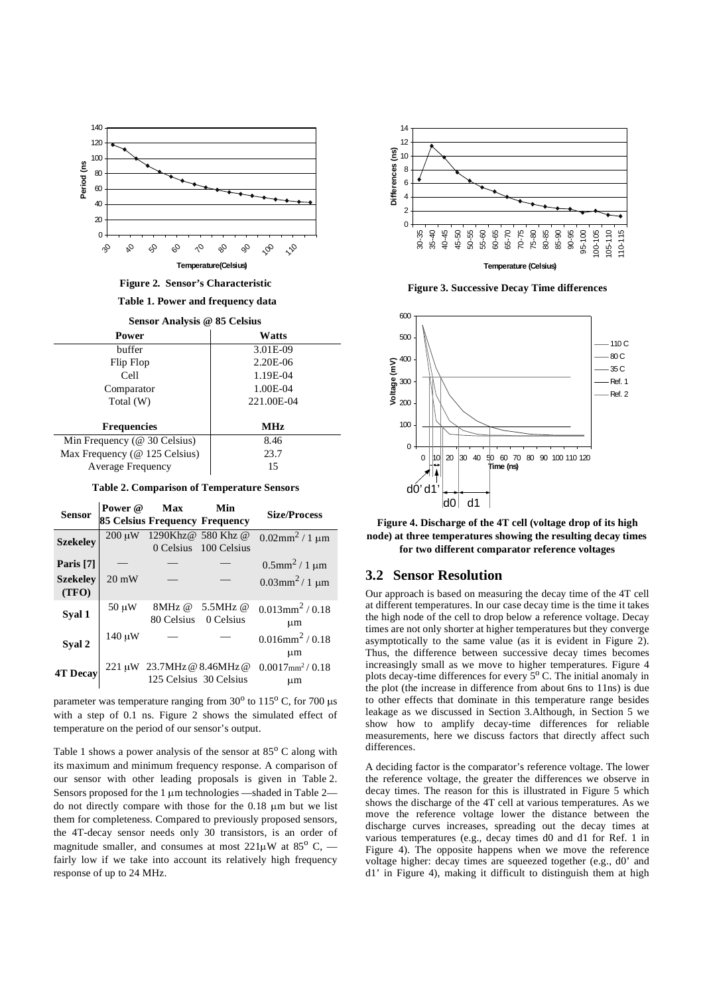

**Figure 2. Sensor's Characteristic**

**Table 1. Power and frequency data**

| Sensor Analysis @ 85 Celsius |  |  |  |
|------------------------------|--|--|--|
|------------------------------|--|--|--|

| Power                            | Watts      |
|----------------------------------|------------|
| buffer                           | 3.01E-09   |
| Flip Flop                        | 2.20E-06   |
| Cell                             | 1.19E-04   |
| Comparator                       | 1.00E-04   |
| Total (W)                        | 221.00E-04 |
|                                  |            |
| <b>Frequencies</b>               | <b>MHz</b> |
|                                  |            |
| Min Frequency ( $@$ 30 Celsius)  | 8.46       |
| Max Frequency ( $@$ 125 Celsius) | 23.7       |
| <b>Average Frequency</b>         | 15         |

**Table 2. Comparison of Temperature Sensors**

| <b>Sensor</b>            | Power @         | Max<br>85 Celsius Frequency Frequency | Min                                               | <b>Size/Process</b>                       |
|--------------------------|-----------------|---------------------------------------|---------------------------------------------------|-------------------------------------------|
| <b>Szekeley</b>          | $200 \mu W$     |                                       | 1290Khz@ 580 Khz @<br>0 Celsius 100 Celsius       | $0.02$ mm <sup>2</sup> / 1 µm             |
| Paris [7]                |                 |                                       |                                                   | $0.5$ mm <sup>2</sup> / 1 µm              |
| <b>Szekelev</b><br>(TFO) | $20 \text{ mW}$ |                                       |                                                   | $0.03$ mm <sup>2</sup> /1 µm              |
| Syal 1                   | $50 \mu W$      | 8MHz @<br>80 Celsius                  | 5.5MHz @<br>0 Celsius                             | $0.013$ mm <sup>2</sup> / 0.18<br>$\mu$ m |
| Syal 2                   | $140 \mu W$     |                                       |                                                   | $0.016$ mm <sup>2</sup> / $0.18$<br>μm    |
| <b>4T Decay</b>          |                 |                                       | 221 µW 23.7MHz @ 8.46MHz @ 125 Celsius 30 Celsius | $0.0017$ mm <sup>2</sup> / $0.18$<br>μm   |

parameter was temperature ranging from  $30^{\circ}$  to  $115^{\circ}$  C, for 700  $\mu$ s with a step of 0.1 ns. Figure 2 shows the simulated effect of temperature on the period of our sensor's output.

Table 1 shows a power analysis of the sensor at  $85^{\circ}$  C along with its maximum and minimum frequency response. A comparison of our sensor with other leading proposals is given in Table 2. Sensors proposed for the 1  $\mu$ m technologies —shaded in Table 2 do not directly compare with those for the  $0.18 \mu m$  but we list them for completeness. Compared to previously proposed sensors, the 4T-decay sensor needs only 30 transistors, is an order of magnitude smaller, and consumes at most  $221\mu$ W at  $85^\circ$  C, fairly low if we take into account its relatively high frequency response of up to 24 MHz.



**Figure 3. Successive Decay Time differences**



**Figure 4. Discharge of the 4T cell (voltage drop of its high node) at three temperatures showing the resulting decay times for two different comparator reference voltages**

#### <span id="page-2-0"></span>**3.2 Sensor Resolution**

Our approach is based on measuring the decay time of the 4T cell at different temperatures. In our case decay time is the time it takes the high node of the cell to drop below a reference voltage. Decay times are not only shorter at higher temperatures but they converge asymptotically to the same value (as it is evident in Figure 2). Thus, the difference between successive decay times becomes increasingly small as we move to higher temperatures. Figure 4 plots decay-time differences for every  $5^{\circ}$  C. The initial anomaly in the plot (the increase in difference from about 6ns to 11ns) is due to other effects that dominate in this temperature range besides leakage as we discussed in [Section 3](#page-1-1).Although, in [Section 5](#page-4-0) we show how to amplify decay-time differences for reliable measurements, here we discuss factors that directly affect such differences.

A deciding factor is the comparator's reference voltage. The lower the reference voltage, the greater the differences we observe in decay times. The reason for this is illustrated in Figure 5 which shows the discharge of the 4T cell at various temperatures. As we move the reference voltage lower the distance between the discharge curves increases, spreading out the decay times at various temperatures (e.g., decay times d0 and d1 for Ref. 1 in Figure 4). The opposite happens when we move the reference voltage higher: decay times are squeezed together (e.g., d0' and d1' in Figure 4), making it difficult to distinguish them at high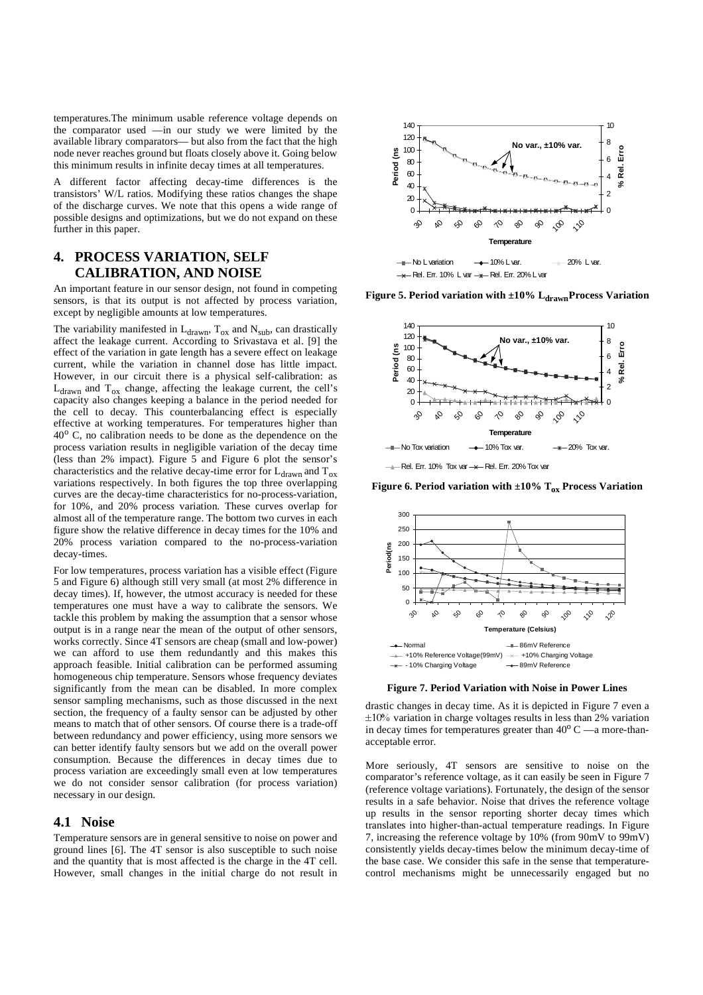temperatures.The minimum usable reference voltage depends on the comparator used —in our study we were limited by the available library comparators— but also from the fact that the high node never reaches ground but floats closely above it. Going below this minimum results in infinite decay times at all temperatures.

A different factor affecting decay-time differences is the transistors' W/L ratios. Modifying these ratios changes the shape of the discharge curves. We note that this opens a wide range of possible designs and optimizations, but we do not expand on these further in this paper.

# <span id="page-3-0"></span>**4. PROCESS VARIATION, SELF CALIBRATION, AND NOISE**

An important feature in our sensor design, not found in competing sensors, is that its output is not affected by process variation, except by negligible amounts at low temperatures.

The variability manifested in  $L_{drawn}$ ,  $T_{ox}$  and  $N_{sub}$ , can drastically affect the leakage current. According to Srivastava et al. [9] the effect of the variation in gate length has a severe effect on leakage current, while the variation in channel dose has little impact. However, in our circuit there is a physical self-calibration: as  $L_{drawn}$  and  $T_{ox}$  change, affecting the leakage current, the cell's capacity also changes keeping a balance in the period needed for the cell to decay. This counterbalancing effect is especially effective at working temperatures. For temperatures higher than  $40^{\circ}$  C, no calibration needs to be done as the dependence on the process variation results in negligible variation of the decay time (less than 2% impact). Figure 5 and Figure 6 plot the sensor's characteristics and the relative decay-time error for  $L_{\text{drawn}}$  and  $T_{\text{ox}}$ variations respectively. In both figures the top three overlapping curves are the decay-time characteristics for no-process-variation, for 10%, and 20% process variation. These curves overlap for almost all of the temperature range. The bottom two curves in each figure show the relative difference in decay times for the 10% and 20% process variation compared to the no-process-variation decay-times.

For low temperatures, process variation has a visible effect (Figure 5 and Figure 6) although still very small (at most 2% difference in decay times). If, however, the utmost accuracy is needed for these temperatures one must have a way to calibrate the sensors. We tackle this problem by making the assumption that a sensor whose output is in a range near the mean of the output of other sensors, works correctly. Since 4T sensors are cheap (small and low-power) we can afford to use them redundantly and this makes this approach feasible. Initial calibration can be performed assuming homogeneous chip temperature. Sensors whose frequency deviates significantly from the mean can be disabled. In more complex sensor sampling mechanisms, such as those discussed in the next section, the frequency of a faulty sensor can be adjusted by other means to match that of other sensors. Of course there is a trade-off between redundancy and power efficiency, using more sensors we can better identify faulty sensors but we add on the overall power consumption. Because the differences in decay times due to process variation are exceedingly small even at low temperatures we do not consider sensor calibration (for process variation) necessary in our design.

#### **4.1 Noise**

Temperature sensors are in general sensitive to noise on power and ground lines [6]. The 4T sensor is also susceptible to such noise and the quantity that is most affected is the charge in the 4T cell. However, small changes in the initial charge do not result in



Figure 5. Period variation with ±10% L<sub>drawn</sub>Process Variation



 $\rightarrow$  Rel. Err. 10% Tox var  $\rightarrow$  Rel. Err. 20% Tox var

**Figure 6. Period variation with**  $\pm 10\%$  **T<sub>ox</sub> Process Variation** 



**Figure 7. Period Variation with Noise in Power Lines**

drastic changes in decay time. As it is depicted in Figure 7 even a  $\pm 10\%$  variation in charge voltages results in less than 2% variation in decay times for temperatures greater than  $40^{\circ}$  C  $-$ a more-thanacceptable error.

More seriously, 4T sensors are sensitive to noise on the comparator's reference voltage, as it can easily be seen in Figure 7 (reference voltage variations). Fortunately, the design of the sensor results in a safe behavior. Noise that drives the reference voltage up results in the sensor reporting shorter decay times which translates into higher-than-actual temperature readings. In Figure 7, increasing the reference voltage by 10% (from 90mV to 99mV) consistently yields decay-times below the minimum decay-time of the base case. We consider this safe in the sense that temperaturecontrol mechanisms might be unnecessarily engaged but no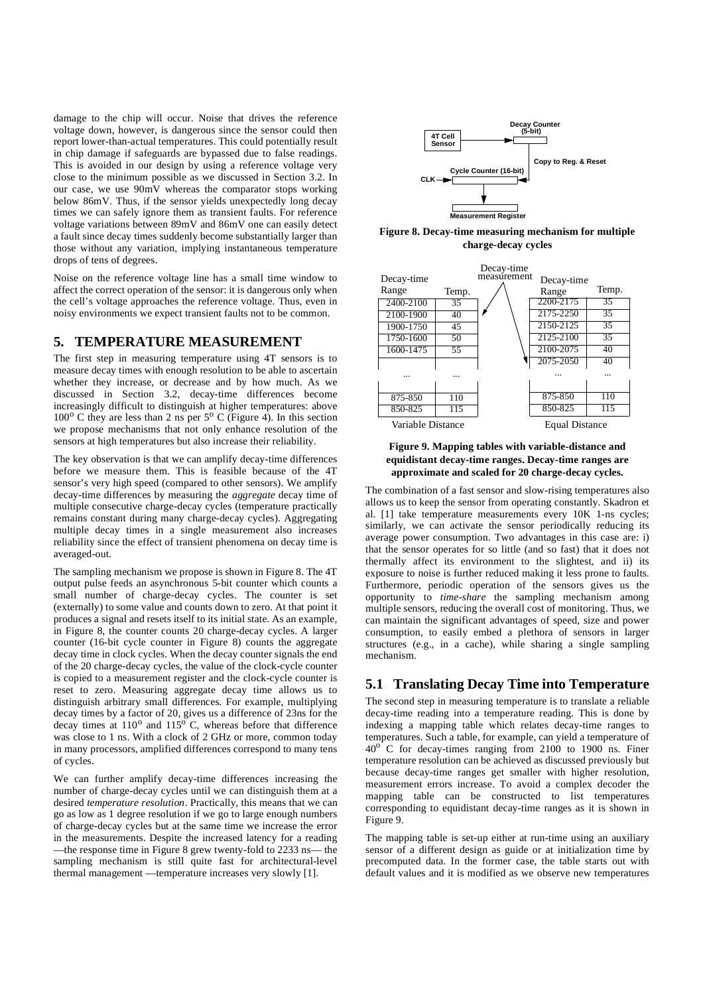damage to the chip will occur. Noise that drives the reference voltage down, however, is dangerous since the sensor could then report lower-than-actual temperatures. This could potentially result in chip damage if safeguards are bypassed due to false readings. This is avoided in our design by using a reference voltage very close to the minimum possible as we discussed in [Section 3.2.](#page-2-0) In our case, we use 90mV whereas the comparator stops working below 86mV. Thus, if the sensor yields unexpectedly long decay times we can safely ignore them as transient faults. For reference voltage variations between 89mV and 86mV one can easily detect a fault since decay times suddenly become substantially larger than those without any variation, implying instantaneous temperature drops of tens of degrees.

Noise on the reference voltage line has a small time window to affect the correct operation of the sensor: it is dangerous only when the cell's voltage approaches the reference voltage. Thus, even in noisy environments we expect transient faults not to be common.

#### <span id="page-4-0"></span>**5. TEMPERATURE MEASUREMENT**

The first step in measuring temperature using 4T sensors is to measure decay times with enough resolution to be able to ascertain whether they increase, or decrease and by how much. As we discussed in [Section 3.2](#page-2-0), decay-time differences become increasingly difficult to distinguish at higher temperatures: above  $100^{\circ}$  C they are less than 2 ns per  $5^{\circ}$  C (Figure 4). In this section we propose mechanisms that not only enhance resolution of the sensors at high temperatures but also increase their reliability.

The key observation is that we can amplify decay-time differences before we measure them. This is feasible because of the 4T sensor's very high speed (compared to other sensors). We amplify decay-time differences by measuring the *aggregate* decay time of multiple consecutive charge-decay cycles (temperature practically remains constant during many charge-decay cycles). Aggregating multiple decay times in a single measurement also increases reliability since the effect of transient phenomena on decay time is averaged-out.

The sampling mechanism we propose is shown in Figure 8. The 4T output pulse feeds an asynchronous 5-bit counter which counts a small number of charge-decay cycles. The counter is set (externally) to some value and counts down to zero. At that point it produces a signal and resets itself to its initial state. As an example, in Figure 8, the counter counts 20 charge-decay cycles. A larger counter (16-bit cycle counter in Figure 8) counts the aggregate decay time in clock cycles. When the decay counter signals the end of the 20 charge-decay cycles, the value of the clock-cycle counter is copied to a measurement register and the clock-cycle counter is reset to zero. Measuring aggregate decay time allows us to distinguish arbitrary small differences. For example, multiplying decay times by a factor of 20, gives us a difference of 23ns for the decay times at  $110^{\circ}$  and  $115^{\circ}$  C, whereas before that difference was close to 1 ns. With a clock of 2 GHz or more, common today in many processors, amplified differences correspond to many tens of cycles.

We can further amplify decay-time differences increasing the number of charge-decay cycles until we can distinguish them at a desired *temperature resolution*. Practically, this means that we can go as low as 1 degree resolution if we go to large enough numbers of charge-decay cycles but at the same time we increase the error in the measurements. Despite the increased latency for a reading —the response time in Figure 8 grew twenty-fold to 2233 ns— the sampling mechanism is still quite fast for architectural-level thermal management —temperature increases very slowly [1].



**Figure 8. Decay-time measuring mechanism for multiple charge-decay cycles**



**Figure 9. Mapping tables with variable-distance and equidistant decay-time ranges. Decay-time ranges are approximate and scaled for 20 charge-decay cycles.**

The combination of a fast sensor and slow-rising temperatures also allows us to keep the sensor from operating constantly. Skadron et al. [1] take temperature measurements every 10K 1-ns cycles; similarly, we can activate the sensor periodically reducing its average power consumption. Two advantages in this case are: i) that the sensor operates for so little (and so fast) that it does not thermally affect its environment to the slightest, and ii) its exposure to noise is further reduced making it less prone to faults. Furthermore, periodic operation of the sensors gives us the opportunity to *time-share* the sampling mechanism among multiple sensors, reducing the overall cost of monitoring. Thus, we can maintain the significant advantages of speed, size and power consumption, to easily embed a plethora of sensors in larger structures (e.g., in a cache), while sharing a single sampling mechanism.

## **5.1 Translating Decay Time into Temperature**

The second step in measuring temperature is to translate a reliable decay-time reading into a temperature reading. This is done by indexing a mapping table which relates decay-time ranges to temperatures. Such a table, for example, can yield a temperature of  $40^\circ$  C for decay-times ranging from 2100 to 1900 ns. Finer temperature resolution can be achieved as discussed previously but because decay-time ranges get smaller with higher resolution, measurement errors increase. To avoid a complex decoder the mapping table can be constructed to list temperatures corresponding to equidistant decay-time ranges as it is shown in Figure 9.

The mapping table is set-up either at run-time using an auxiliary sensor of a different design as guide or at initialization time by precomputed data. In the former case, the table starts out with default values and it is modified as we observe new temperatures